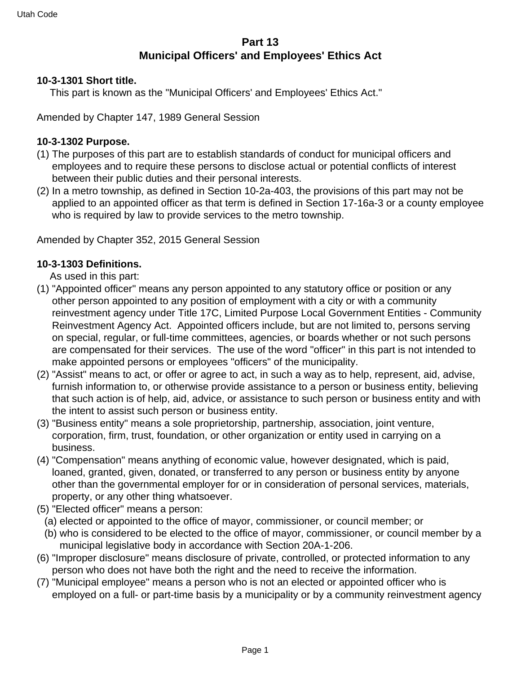## **Part 13 Municipal Officers' and Employees' Ethics Act**

#### **10-3-1301 Short title.**

This part is known as the "Municipal Officers' and Employees' Ethics Act."

Amended by Chapter 147, 1989 General Session

#### **10-3-1302 Purpose.**

- (1) The purposes of this part are to establish standards of conduct for municipal officers and employees and to require these persons to disclose actual or potential conflicts of interest between their public duties and their personal interests.
- (2) In a metro township, as defined in Section 10-2a-403, the provisions of this part may not be applied to an appointed officer as that term is defined in Section 17-16a-3 or a county employee who is required by law to provide services to the metro township.

Amended by Chapter 352, 2015 General Session

#### **10-3-1303 Definitions.**

As used in this part:

- (1) "Appointed officer" means any person appointed to any statutory office or position or any other person appointed to any position of employment with a city or with a community reinvestment agency under Title 17C, Limited Purpose Local Government Entities - Community Reinvestment Agency Act. Appointed officers include, but are not limited to, persons serving on special, regular, or full-time committees, agencies, or boards whether or not such persons are compensated for their services. The use of the word "officer" in this part is not intended to make appointed persons or employees "officers" of the municipality.
- (2) "Assist" means to act, or offer or agree to act, in such a way as to help, represent, aid, advise, furnish information to, or otherwise provide assistance to a person or business entity, believing that such action is of help, aid, advice, or assistance to such person or business entity and with the intent to assist such person or business entity.
- (3) "Business entity" means a sole proprietorship, partnership, association, joint venture, corporation, firm, trust, foundation, or other organization or entity used in carrying on a business.
- (4) "Compensation" means anything of economic value, however designated, which is paid, loaned, granted, given, donated, or transferred to any person or business entity by anyone other than the governmental employer for or in consideration of personal services, materials, property, or any other thing whatsoever.
- (5) "Elected officer" means a person:
	- (a) elected or appointed to the office of mayor, commissioner, or council member; or
	- (b) who is considered to be elected to the office of mayor, commissioner, or council member by a municipal legislative body in accordance with Section 20A-1-206.
- (6) "Improper disclosure" means disclosure of private, controlled, or protected information to any person who does not have both the right and the need to receive the information.
- (7) "Municipal employee" means a person who is not an elected or appointed officer who is employed on a full- or part-time basis by a municipality or by a community reinvestment agency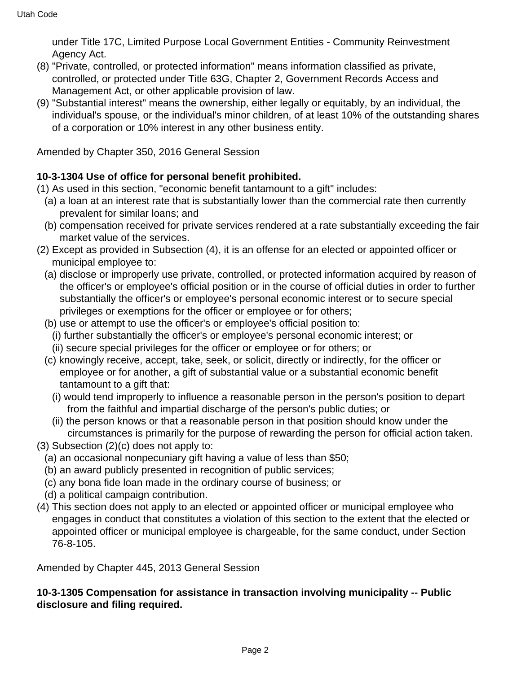under Title 17C, Limited Purpose Local Government Entities - Community Reinvestment Agency Act.

- (8) "Private, controlled, or protected information" means information classified as private, controlled, or protected under Title 63G, Chapter 2, Government Records Access and Management Act, or other applicable provision of law.
- (9) "Substantial interest" means the ownership, either legally or equitably, by an individual, the individual's spouse, or the individual's minor children, of at least 10% of the outstanding shares of a corporation or 10% interest in any other business entity.

Amended by Chapter 350, 2016 General Session

### **10-3-1304 Use of office for personal benefit prohibited.**

- (1) As used in this section, "economic benefit tantamount to a gift" includes:
	- (a) a loan at an interest rate that is substantially lower than the commercial rate then currently prevalent for similar loans; and
	- (b) compensation received for private services rendered at a rate substantially exceeding the fair market value of the services.
- (2) Except as provided in Subsection (4), it is an offense for an elected or appointed officer or municipal employee to:
	- (a) disclose or improperly use private, controlled, or protected information acquired by reason of the officer's or employee's official position or in the course of official duties in order to further substantially the officer's or employee's personal economic interest or to secure special privileges or exemptions for the officer or employee or for others;
	- (b) use or attempt to use the officer's or employee's official position to:
		- (i) further substantially the officer's or employee's personal economic interest; or
		- (ii) secure special privileges for the officer or employee or for others; or
	- (c) knowingly receive, accept, take, seek, or solicit, directly or indirectly, for the officer or employee or for another, a gift of substantial value or a substantial economic benefit tantamount to a gift that:
		- (i) would tend improperly to influence a reasonable person in the person's position to depart from the faithful and impartial discharge of the person's public duties; or
		- (ii) the person knows or that a reasonable person in that position should know under the circumstances is primarily for the purpose of rewarding the person for official action taken.
- (3) Subsection (2)(c) does not apply to:
	- (a) an occasional nonpecuniary gift having a value of less than \$50;
	- (b) an award publicly presented in recognition of public services;
	- (c) any bona fide loan made in the ordinary course of business; or
	- (d) a political campaign contribution.
- (4) This section does not apply to an elected or appointed officer or municipal employee who engages in conduct that constitutes a violation of this section to the extent that the elected or appointed officer or municipal employee is chargeable, for the same conduct, under Section 76-8-105.

Amended by Chapter 445, 2013 General Session

### **10-3-1305 Compensation for assistance in transaction involving municipality -- Public disclosure and filing required.**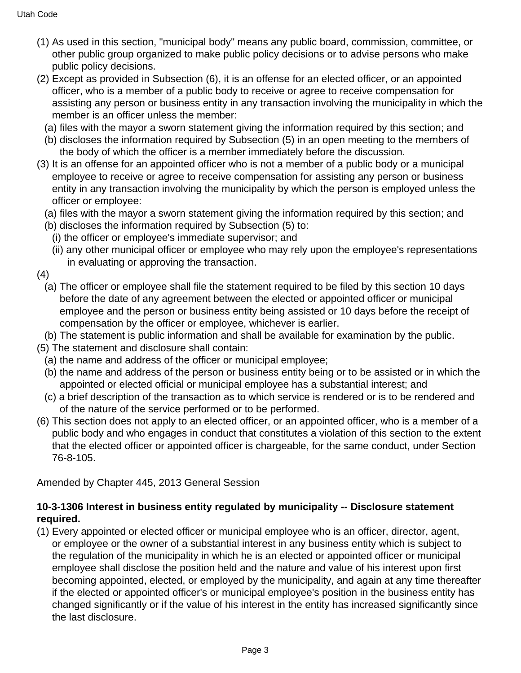- (1) As used in this section, "municipal body" means any public board, commission, committee, or other public group organized to make public policy decisions or to advise persons who make public policy decisions.
- (2) Except as provided in Subsection (6), it is an offense for an elected officer, or an appointed officer, who is a member of a public body to receive or agree to receive compensation for assisting any person or business entity in any transaction involving the municipality in which the member is an officer unless the member:
	- (a) files with the mayor a sworn statement giving the information required by this section; and
	- (b) discloses the information required by Subsection (5) in an open meeting to the members of the body of which the officer is a member immediately before the discussion.
- (3) It is an offense for an appointed officer who is not a member of a public body or a municipal employee to receive or agree to receive compensation for assisting any person or business entity in any transaction involving the municipality by which the person is employed unless the officer or employee:
	- (a) files with the mayor a sworn statement giving the information required by this section; and
	- (b) discloses the information required by Subsection (5) to:
		- (i) the officer or employee's immediate supervisor; and
		- (ii) any other municipal officer or employee who may rely upon the employee's representations in evaluating or approving the transaction.
- (4)
	- (a) The officer or employee shall file the statement required to be filed by this section 10 days before the date of any agreement between the elected or appointed officer or municipal employee and the person or business entity being assisted or 10 days before the receipt of compensation by the officer or employee, whichever is earlier.
- (b) The statement is public information and shall be available for examination by the public.
- (5) The statement and disclosure shall contain:
- (a) the name and address of the officer or municipal employee;
- (b) the name and address of the person or business entity being or to be assisted or in which the appointed or elected official or municipal employee has a substantial interest; and
- (c) a brief description of the transaction as to which service is rendered or is to be rendered and of the nature of the service performed or to be performed.
- (6) This section does not apply to an elected officer, or an appointed officer, who is a member of a public body and who engages in conduct that constitutes a violation of this section to the extent that the elected officer or appointed officer is chargeable, for the same conduct, under Section 76-8-105.

Amended by Chapter 445, 2013 General Session

### **10-3-1306 Interest in business entity regulated by municipality -- Disclosure statement required.**

(1) Every appointed or elected officer or municipal employee who is an officer, director, agent, or employee or the owner of a substantial interest in any business entity which is subject to the regulation of the municipality in which he is an elected or appointed officer or municipal employee shall disclose the position held and the nature and value of his interest upon first becoming appointed, elected, or employed by the municipality, and again at any time thereafter if the elected or appointed officer's or municipal employee's position in the business entity has changed significantly or if the value of his interest in the entity has increased significantly since the last disclosure.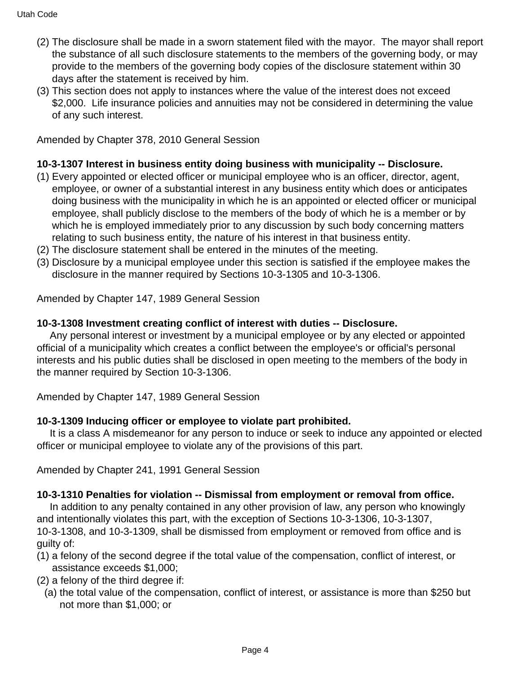- (2) The disclosure shall be made in a sworn statement filed with the mayor. The mayor shall report the substance of all such disclosure statements to the members of the governing body, or may provide to the members of the governing body copies of the disclosure statement within 30 days after the statement is received by him.
- (3) This section does not apply to instances where the value of the interest does not exceed \$2,000. Life insurance policies and annuities may not be considered in determining the value of any such interest.

Amended by Chapter 378, 2010 General Session

## **10-3-1307 Interest in business entity doing business with municipality -- Disclosure.**

- (1) Every appointed or elected officer or municipal employee who is an officer, director, agent, employee, or owner of a substantial interest in any business entity which does or anticipates doing business with the municipality in which he is an appointed or elected officer or municipal employee, shall publicly disclose to the members of the body of which he is a member or by which he is employed immediately prior to any discussion by such body concerning matters relating to such business entity, the nature of his interest in that business entity.
- (2) The disclosure statement shall be entered in the minutes of the meeting.
- (3) Disclosure by a municipal employee under this section is satisfied if the employee makes the disclosure in the manner required by Sections 10-3-1305 and 10-3-1306.

Amended by Chapter 147, 1989 General Session

## **10-3-1308 Investment creating conflict of interest with duties -- Disclosure.**

 Any personal interest or investment by a municipal employee or by any elected or appointed official of a municipality which creates a conflict between the employee's or official's personal interests and his public duties shall be disclosed in open meeting to the members of the body in the manner required by Section 10-3-1306.

Amended by Chapter 147, 1989 General Session

# **10-3-1309 Inducing officer or employee to violate part prohibited.**

 It is a class A misdemeanor for any person to induce or seek to induce any appointed or elected officer or municipal employee to violate any of the provisions of this part.

Amended by Chapter 241, 1991 General Session

# **10-3-1310 Penalties for violation -- Dismissal from employment or removal from office.**

 In addition to any penalty contained in any other provision of law, any person who knowingly and intentionally violates this part, with the exception of Sections 10-3-1306, 10-3-1307, 10-3-1308, and 10-3-1309, shall be dismissed from employment or removed from office and is guilty of:

- (1) a felony of the second degree if the total value of the compensation, conflict of interest, or assistance exceeds \$1,000;
- (2) a felony of the third degree if:
	- (a) the total value of the compensation, conflict of interest, or assistance is more than \$250 but not more than \$1,000; or